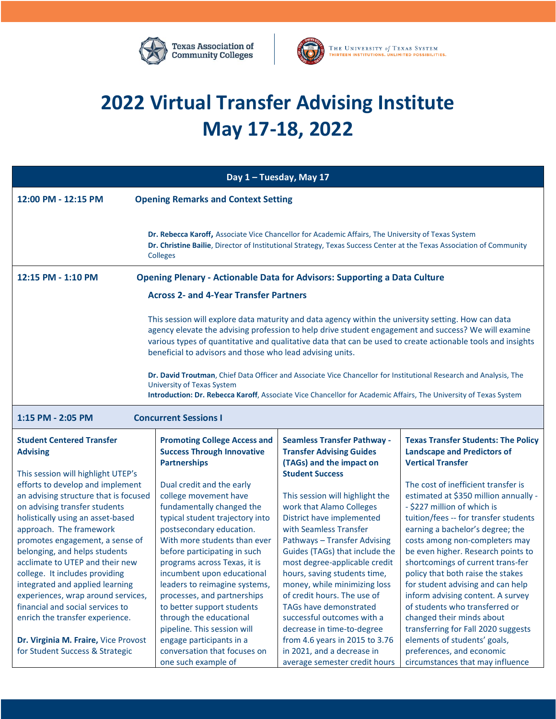



## **2022 Virtual Transfer Advising Institute May 17-18, 2022**

| Day 1 - Tuesday, May 17                                                                                                                                                                                                                                                                                                                                                                                                                                                                                                                                                                                                                                               |                                                                                                                                                                                                                                                                                                                                                                                                                                                                  |                                                                                                                                                                                                                                                                                                                                                                                                                                                                        |                                                                                                                                                                                                                                                                                                                                                                                                                                                                                                                                                            |  |
|-----------------------------------------------------------------------------------------------------------------------------------------------------------------------------------------------------------------------------------------------------------------------------------------------------------------------------------------------------------------------------------------------------------------------------------------------------------------------------------------------------------------------------------------------------------------------------------------------------------------------------------------------------------------------|------------------------------------------------------------------------------------------------------------------------------------------------------------------------------------------------------------------------------------------------------------------------------------------------------------------------------------------------------------------------------------------------------------------------------------------------------------------|------------------------------------------------------------------------------------------------------------------------------------------------------------------------------------------------------------------------------------------------------------------------------------------------------------------------------------------------------------------------------------------------------------------------------------------------------------------------|------------------------------------------------------------------------------------------------------------------------------------------------------------------------------------------------------------------------------------------------------------------------------------------------------------------------------------------------------------------------------------------------------------------------------------------------------------------------------------------------------------------------------------------------------------|--|
| 12:00 PM - 12:15 PM                                                                                                                                                                                                                                                                                                                                                                                                                                                                                                                                                                                                                                                   | <b>Opening Remarks and Context Setting</b>                                                                                                                                                                                                                                                                                                                                                                                                                       |                                                                                                                                                                                                                                                                                                                                                                                                                                                                        |                                                                                                                                                                                                                                                                                                                                                                                                                                                                                                                                                            |  |
|                                                                                                                                                                                                                                                                                                                                                                                                                                                                                                                                                                                                                                                                       | Dr. Rebecca Karoff, Associate Vice Chancellor for Academic Affairs, The University of Texas System<br><b>Colleges</b>                                                                                                                                                                                                                                                                                                                                            |                                                                                                                                                                                                                                                                                                                                                                                                                                                                        | Dr. Christine Bailie, Director of Institutional Strategy, Texas Success Center at the Texas Association of Community                                                                                                                                                                                                                                                                                                                                                                                                                                       |  |
| 12:15 PM - 1:10 PM<br><b>Opening Plenary - Actionable Data for Advisors: Supporting a Data Culture</b>                                                                                                                                                                                                                                                                                                                                                                                                                                                                                                                                                                |                                                                                                                                                                                                                                                                                                                                                                                                                                                                  |                                                                                                                                                                                                                                                                                                                                                                                                                                                                        |                                                                                                                                                                                                                                                                                                                                                                                                                                                                                                                                                            |  |
| <b>Across 2- and 4-Year Transfer Partners</b>                                                                                                                                                                                                                                                                                                                                                                                                                                                                                                                                                                                                                         |                                                                                                                                                                                                                                                                                                                                                                                                                                                                  |                                                                                                                                                                                                                                                                                                                                                                                                                                                                        |                                                                                                                                                                                                                                                                                                                                                                                                                                                                                                                                                            |  |
| This session will explore data maturity and data agency within the university setting. How can data<br>agency elevate the advising profession to help drive student engagement and success? We will examine<br>various types of quantitative and qualitative data that can be used to create actionable tools and insights<br>beneficial to advisors and those who lead advising units.<br>Dr. David Troutman, Chief Data Officer and Associate Vice Chancellor for Institutional Research and Analysis, The<br><b>University of Texas System</b><br>Introduction: Dr. Rebecca Karoff, Associate Vice Chancellor for Academic Affairs, The University of Texas System |                                                                                                                                                                                                                                                                                                                                                                                                                                                                  |                                                                                                                                                                                                                                                                                                                                                                                                                                                                        |                                                                                                                                                                                                                                                                                                                                                                                                                                                                                                                                                            |  |
| 1:15 PM - 2:05 PM                                                                                                                                                                                                                                                                                                                                                                                                                                                                                                                                                                                                                                                     | <b>Concurrent Sessions I</b>                                                                                                                                                                                                                                                                                                                                                                                                                                     |                                                                                                                                                                                                                                                                                                                                                                                                                                                                        |                                                                                                                                                                                                                                                                                                                                                                                                                                                                                                                                                            |  |
| <b>Student Centered Transfer</b><br><b>Advising</b>                                                                                                                                                                                                                                                                                                                                                                                                                                                                                                                                                                                                                   | <b>Promoting College Access and</b><br><b>Success Through Innovative</b><br><b>Partnerships</b>                                                                                                                                                                                                                                                                                                                                                                  | <b>Seamless Transfer Pathway -</b><br><b>Transfer Advising Guides</b><br>(TAGs) and the impact on                                                                                                                                                                                                                                                                                                                                                                      | <b>Texas Transfer Students: The Policy</b><br><b>Landscape and Predictors of</b><br><b>Vertical Transfer</b>                                                                                                                                                                                                                                                                                                                                                                                                                                               |  |
| This session will highlight UTEP's<br>efforts to develop and implement<br>an advising structure that is focused<br>on advising transfer students<br>holistically using an asset-based<br>approach. The framework<br>promotes engagement, a sense of<br>belonging, and helps students<br>acclimate to UTEP and their new<br>college. It includes providing<br>integrated and applied learning<br>experiences, wrap around services,<br>financial and social services to<br>enrich the transfer experience.<br>Dr. Virginia M. Fraire, Vice Provost                                                                                                                     | Dual credit and the early<br>college movement have<br>fundamentally changed the<br>typical student trajectory into<br>postsecondary education.<br>With more students than ever<br>before participating in such<br>programs across Texas, it is<br>incumbent upon educational<br>leaders to reimagine systems,<br>processes, and partnerships<br>to better support students<br>through the educational<br>pipeline. This session will<br>engage participants in a | <b>Student Success</b><br>This session will highlight the<br>work that Alamo Colleges<br>District have implemented<br>with Seamless Transfer<br>Pathways - Transfer Advising<br>Guides (TAGs) that include the<br>most degree-applicable credit<br>hours, saving students time,<br>money, while minimizing loss<br>of credit hours. The use of<br>TAGs have demonstrated<br>successful outcomes with a<br>decrease in time-to-degree<br>from 4.6 years in 2015 to 3.76 | The cost of inefficient transfer is<br>estimated at \$350 million annually -<br>- \$227 million of which is<br>tuition/fees -- for transfer students<br>earning a bachelor's degree; the<br>costs among non-completers may<br>be even higher. Research points to<br>shortcomings of current trans-fer<br>policy that both raise the stakes<br>for student advising and can help<br>inform advising content. A survey<br>of students who transferred or<br>changed their minds about<br>transferring for Fall 2020 suggests<br>elements of students' goals, |  |
| for Student Success & Strategic                                                                                                                                                                                                                                                                                                                                                                                                                                                                                                                                                                                                                                       | conversation that focuses on<br>one such example of                                                                                                                                                                                                                                                                                                                                                                                                              | in 2021, and a decrease in<br>average semester credit hours                                                                                                                                                                                                                                                                                                                                                                                                            | preferences, and economic<br>circumstances that may influence                                                                                                                                                                                                                                                                                                                                                                                                                                                                                              |  |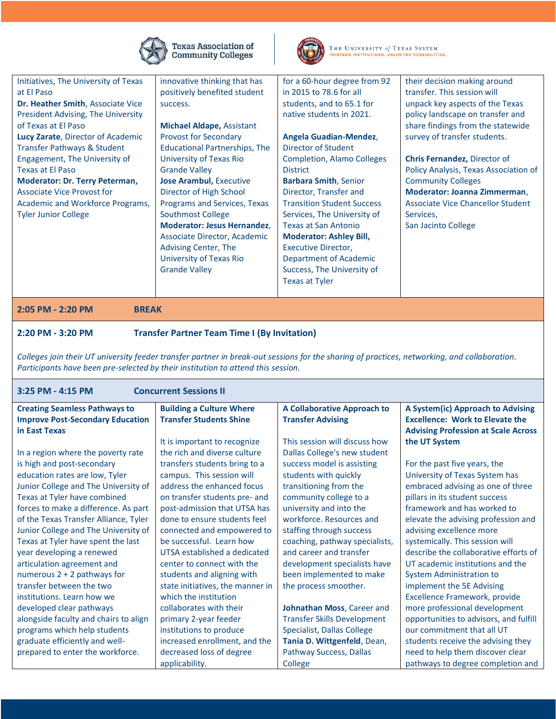

Texas Association of<br>Community Colleges



THE UNIVERSITY of TEXAS SYSTEM THIRTEEN INSTITUTIONS. UNLIMITED POSSIBILITIES.

| Initiatives, The University of Texas<br>at El Paso<br>Dr. Heather Smith, Associate Vice<br><b>President Advising, The University</b><br>of Texas at El Paso<br>Lucy Zarate, Director of Academic<br>Transfer Pathways & Student<br>Engagement, The University of<br><b>Texas at El Paso</b><br>Moderator: Dr. Terry Peterman,<br><b>Associate Vice Provost for</b><br>Academic and Workforce Programs,<br><b>Tyler Junior College</b> | innovative thinking that has<br>positively benefited student<br>success.<br><b>Michael Aldape, Assistant</b><br><b>Provost for Secondary</b><br><b>Educational Partnerships, The</b><br><b>University of Texas Rio</b><br><b>Grande Valley</b><br><b>Jose Arambul, Executive</b><br>Director of High School<br>Programs and Services, Texas<br><b>Southmost College</b><br><b>Moderator: Jesus Hernandez,</b><br>Associate Director, Academic<br>Advising Center, The | for a 60-hour degree from 92<br>in 2015 to 78.6 for all<br>students, and to 65.1 for<br>native students in 2021.<br>Angela Guadian-Mendez,<br>Director of Student<br><b>Completion, Alamo Colleges</b><br><b>District</b><br><b>Barbara Smith, Senior</b><br>Director, Transfer and<br><b>Transition Student Success</b><br>Services, The University of<br><b>Texas at San Antonio</b><br><b>Moderator: Ashley Bill,</b><br><b>Executive Director,</b> | their decision making around<br>transfer. This session will<br>unpack key aspects of the Texas<br>policy landscape on transfer and<br>share findings from the statewide<br>survey of transfer students.<br><b>Chris Fernandez, Director of</b><br>Policy Analysis, Texas Association of<br><b>Community Colleges</b><br>Moderator: Joanna Zimmerman,<br>Associate Vice Chancellor Student<br>Services,<br>San Jacinto College |
|---------------------------------------------------------------------------------------------------------------------------------------------------------------------------------------------------------------------------------------------------------------------------------------------------------------------------------------------------------------------------------------------------------------------------------------|-----------------------------------------------------------------------------------------------------------------------------------------------------------------------------------------------------------------------------------------------------------------------------------------------------------------------------------------------------------------------------------------------------------------------------------------------------------------------|--------------------------------------------------------------------------------------------------------------------------------------------------------------------------------------------------------------------------------------------------------------------------------------------------------------------------------------------------------------------------------------------------------------------------------------------------------|-------------------------------------------------------------------------------------------------------------------------------------------------------------------------------------------------------------------------------------------------------------------------------------------------------------------------------------------------------------------------------------------------------------------------------|
|                                                                                                                                                                                                                                                                                                                                                                                                                                       | University of Texas Rio<br><b>Grande Valley</b>                                                                                                                                                                                                                                                                                                                                                                                                                       | <b>Department of Academic</b><br>Success, The University of<br>Texas at Tyler                                                                                                                                                                                                                                                                                                                                                                          |                                                                                                                                                                                                                                                                                                                                                                                                                               |
| 2:05 PM - 2:20 PM<br><b>BREAK</b>                                                                                                                                                                                                                                                                                                                                                                                                     |                                                                                                                                                                                                                                                                                                                                                                                                                                                                       |                                                                                                                                                                                                                                                                                                                                                                                                                                                        |                                                                                                                                                                                                                                                                                                                                                                                                                               |
| 2:20 PM - 3:20 PM<br><b>Transfer Partner Team Time I (By Invitation)</b>                                                                                                                                                                                                                                                                                                                                                              |                                                                                                                                                                                                                                                                                                                                                                                                                                                                       |                                                                                                                                                                                                                                                                                                                                                                                                                                                        |                                                                                                                                                                                                                                                                                                                                                                                                                               |

*Colleges join their UT university feeder transfer partner in break-out sessions for the sharing of practices, networking, and collaboration. Participants have been pre-selected by their institution to attend this session.*

| <b>Concurrent Sessions II</b><br>3:25 PM - 4:15 PM |                                  |                                    |                                            |
|----------------------------------------------------|----------------------------------|------------------------------------|--------------------------------------------|
| <b>Creating Seamless Pathways to</b>               | <b>Building a Culture Where</b>  | <b>A Collaborative Approach to</b> | A System(ic) Approach to Advising          |
| <b>Improve Post-Secondary Education</b>            | <b>Transfer Students Shine</b>   | <b>Transfer Advising</b>           | <b>Excellence: Work to Elevate the</b>     |
| in East Texas                                      |                                  |                                    | <b>Advising Profession at Scale Across</b> |
|                                                    | It is important to recognize     | This session will discuss how      | the UT System                              |
| In a region where the poverty rate                 | the rich and diverse culture     | Dallas College's new student       |                                            |
| is high and post-secondary                         | transfers students bring to a    | success model is assisting         | For the past five years, the               |
| education rates are low, Tyler                     | campus. This session will        | students with quickly              | University of Texas System has             |
| Junior College and The University of               | address the enhanced focus       | transitioning from the             | embraced advising as one of three          |
| Texas at Tyler have combined                       | on transfer students pre- and    | community college to a             | pillars in its student success             |
| forces to make a difference. As part               | post-admission that UTSA has     | university and into the            | framework and has worked to                |
| of the Texas Transfer Alliance, Tyler              | done to ensure students feel     | workforce. Resources and           | elevate the advising profession and        |
| Junior College and The University of               | connected and empowered to       | staffing through success           | advising excellence more                   |
| Texas at Tyler have spent the last                 | be successful. Learn how         | coaching, pathway specialists,     | systemically. This session will            |
| year developing a renewed                          | UTSA established a dedicated     | and career and transfer            | describe the collaborative efforts of      |
| articulation agreement and                         | center to connect with the       | development specialists have       | UT academic institutions and the           |
| numerous $2 + 2$ pathways for                      | students and aligning with       | been implemented to make           | <b>System Administration to</b>            |
| transfer between the two                           | state initiatives, the manner in | the process smoother.              | implement the 5E Advising                  |
| institutions. Learn how we                         | which the institution            |                                    | Excellence Framework, provide              |
| developed clear pathways                           | collaborates with their          | Johnathan Moss, Career and         | more professional development              |
| alongside faculty and chairs to align              | primary 2-year feeder            | <b>Transfer Skills Development</b> | opportunities to advisors, and fulfill     |
| programs which help students                       | institutions to produce          | Specialist, Dallas College         | our commitment that all UT                 |
| graduate efficiently and well-                     | increased enrollment, and the    | Tania D. Wittgenfeld, Dean,        | students receive the advising they         |
| prepared to enter the workforce.                   | decreased loss of degree         | Pathway Success, Dallas            | need to help them discover clear           |
|                                                    | applicability.                   | College                            | pathways to degree completion and          |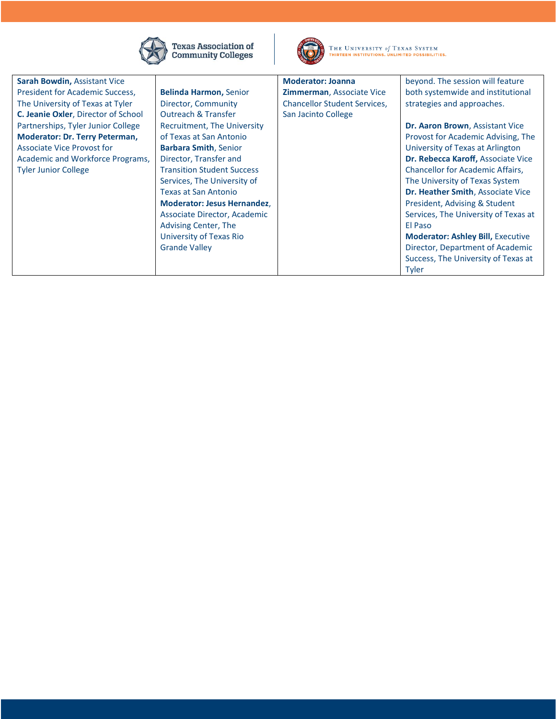

Texas Association of<br>Community Colleges



THE UNIVERSITY of TEXAS SYSTEM THIRTEEN INSTITUTIONS. UNLIMITED POSSIBILITIES.

| Sarah Bowdin, Assistant Vice          |                                    | <b>Moderator: Joanna</b>            | beyond. The session will feature         |
|---------------------------------------|------------------------------------|-------------------------------------|------------------------------------------|
| President for Academic Success,       | <b>Belinda Harmon, Senior</b>      | <b>Zimmerman, Associate Vice</b>    | both systemwide and institutional        |
| The University of Texas at Tyler      | Director, Community                | <b>Chancellor Student Services,</b> | strategies and approaches.               |
| C. Jeanie Oxler, Director of School   | <b>Outreach &amp; Transfer</b>     | San Jacinto College                 |                                          |
| Partnerships, Tyler Junior College    | Recruitment, The University        |                                     | Dr. Aaron Brown, Assistant Vice          |
| <b>Moderator: Dr. Terry Peterman,</b> | of Texas at San Antonio            |                                     | Provost for Academic Advising, The       |
| <b>Associate Vice Provost for</b>     | <b>Barbara Smith, Senior</b>       |                                     | University of Texas at Arlington         |
| Academic and Workforce Programs,      | Director, Transfer and             |                                     | Dr. Rebecca Karoff, Associate Vice       |
| <b>Tyler Junior College</b>           | <b>Transition Student Success</b>  |                                     | Chancellor for Academic Affairs,         |
|                                       | Services, The University of        |                                     | The University of Texas System           |
|                                       | <b>Texas at San Antonio</b>        |                                     | Dr. Heather Smith, Associate Vice        |
|                                       | <b>Moderator: Jesus Hernandez,</b> |                                     | President, Advising & Student            |
|                                       | Associate Director, Academic       |                                     | Services, The University of Texas at     |
|                                       | Advising Center, The               |                                     | El Paso                                  |
|                                       | University of Texas Rio            |                                     | <b>Moderator: Ashley Bill, Executive</b> |
|                                       | <b>Grande Valley</b>               |                                     | Director, Department of Academic         |
|                                       |                                    |                                     | Success, The University of Texas at      |
|                                       |                                    |                                     | Tyler                                    |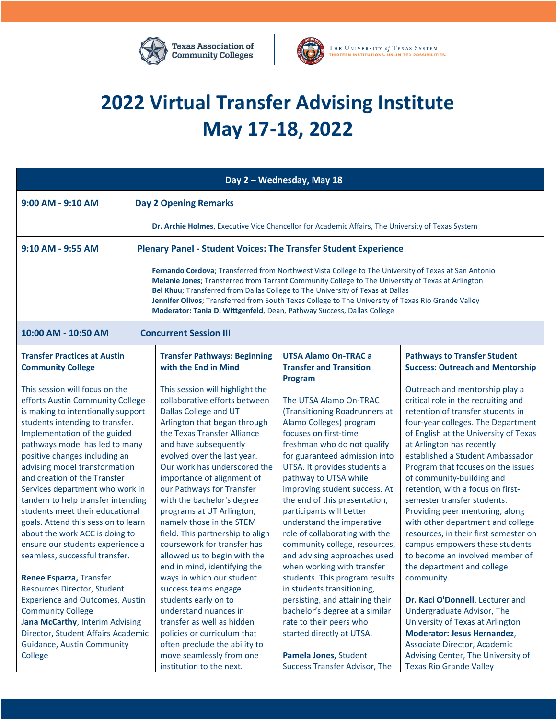



## **2022 Virtual Transfer Advising Institute May 17-18, 2022**

| Day 2 - Wednesday, May 18                                                                                                                                                                                                                                                                                                                                                                                                                                                                                                                                                 |                                                                                                                                                                                                                                                                                                                                                                                                                                                                                                                                       |                                                                                                                                                                                                                                                                                                                                                                                                                                                                                                  |                                                                                                                                                                                                                                                                                                                                                                                                                                                                                                                                                                                                                       |  |
|---------------------------------------------------------------------------------------------------------------------------------------------------------------------------------------------------------------------------------------------------------------------------------------------------------------------------------------------------------------------------------------------------------------------------------------------------------------------------------------------------------------------------------------------------------------------------|---------------------------------------------------------------------------------------------------------------------------------------------------------------------------------------------------------------------------------------------------------------------------------------------------------------------------------------------------------------------------------------------------------------------------------------------------------------------------------------------------------------------------------------|--------------------------------------------------------------------------------------------------------------------------------------------------------------------------------------------------------------------------------------------------------------------------------------------------------------------------------------------------------------------------------------------------------------------------------------------------------------------------------------------------|-----------------------------------------------------------------------------------------------------------------------------------------------------------------------------------------------------------------------------------------------------------------------------------------------------------------------------------------------------------------------------------------------------------------------------------------------------------------------------------------------------------------------------------------------------------------------------------------------------------------------|--|
| 9:00 AM - 9:10 AM<br><b>Day 2 Opening Remarks</b>                                                                                                                                                                                                                                                                                                                                                                                                                                                                                                                         |                                                                                                                                                                                                                                                                                                                                                                                                                                                                                                                                       |                                                                                                                                                                                                                                                                                                                                                                                                                                                                                                  |                                                                                                                                                                                                                                                                                                                                                                                                                                                                                                                                                                                                                       |  |
|                                                                                                                                                                                                                                                                                                                                                                                                                                                                                                                                                                           | Dr. Archie Holmes, Executive Vice Chancellor for Academic Affairs, The University of Texas System                                                                                                                                                                                                                                                                                                                                                                                                                                     |                                                                                                                                                                                                                                                                                                                                                                                                                                                                                                  |                                                                                                                                                                                                                                                                                                                                                                                                                                                                                                                                                                                                                       |  |
| 9:10 AM - 9:55 AM                                                                                                                                                                                                                                                                                                                                                                                                                                                                                                                                                         | <b>Plenary Panel - Student Voices: The Transfer Student Experience</b>                                                                                                                                                                                                                                                                                                                                                                                                                                                                |                                                                                                                                                                                                                                                                                                                                                                                                                                                                                                  |                                                                                                                                                                                                                                                                                                                                                                                                                                                                                                                                                                                                                       |  |
| Fernando Cordova; Transferred from Northwest Vista College to The University of Texas at San Antonio<br>Melanie Jones; Transferred from Tarrant Community College to The University of Texas at Arlington<br>Bel Khuu; Transferred from Dallas College to The University of Texas at Dallas<br>Jennifer Olivos; Transferred from South Texas College to The University of Texas Rio Grande Valley<br>Moderator: Tania D. Wittgenfeld, Dean, Pathway Success, Dallas College                                                                                               |                                                                                                                                                                                                                                                                                                                                                                                                                                                                                                                                       |                                                                                                                                                                                                                                                                                                                                                                                                                                                                                                  |                                                                                                                                                                                                                                                                                                                                                                                                                                                                                                                                                                                                                       |  |
| 10:00 AM - 10:50 AM                                                                                                                                                                                                                                                                                                                                                                                                                                                                                                                                                       | <b>Concurrent Session III</b>                                                                                                                                                                                                                                                                                                                                                                                                                                                                                                         |                                                                                                                                                                                                                                                                                                                                                                                                                                                                                                  |                                                                                                                                                                                                                                                                                                                                                                                                                                                                                                                                                                                                                       |  |
| <b>Transfer Practices at Austin</b><br><b>Community College</b>                                                                                                                                                                                                                                                                                                                                                                                                                                                                                                           | <b>Transfer Pathways: Beginning</b><br>with the End in Mind                                                                                                                                                                                                                                                                                                                                                                                                                                                                           | <b>UTSA Alamo On-TRAC a</b><br><b>Transfer and Transition</b><br>Program                                                                                                                                                                                                                                                                                                                                                                                                                         | <b>Pathways to Transfer Student</b><br><b>Success: Outreach and Mentorship</b>                                                                                                                                                                                                                                                                                                                                                                                                                                                                                                                                        |  |
| This session will focus on the<br>efforts Austin Community College<br>is making to intentionally support<br>students intending to transfer.<br>Implementation of the guided<br>pathways model has led to many<br>positive changes including an<br>advising model transformation<br>and creation of the Transfer<br>Services department who work in<br>tandem to help transfer intending<br>students meet their educational<br>goals. Attend this session to learn<br>about the work ACC is doing to<br>ensure our students experience a<br>seamless, successful transfer. | This session will highlight the<br>collaborative efforts between<br>Dallas College and UT<br>Arlington that began through<br>the Texas Transfer Alliance<br>and have subsequently<br>evolved over the last year.<br>Our work has underscored the<br>importance of alignment of<br>our Pathways for Transfer<br>with the bachelor's degree<br>programs at UT Arlington,<br>namely those in the STEM<br>field. This partnership to align<br>coursework for transfer has<br>allowed us to begin with the<br>end in mind, identifying the | The UTSA Alamo On-TRAC<br>(Transitioning Roadrunners at<br>Alamo Colleges) program<br>focuses on first-time<br>freshman who do not qualify<br>for guaranteed admission into<br>UTSA. It provides students a<br>pathway to UTSA while<br>improving student success. At<br>the end of this presentation,<br>participants will better<br>understand the imperative<br>role of collaborating with the<br>community college, resources,<br>and advising approaches used<br>when working with transfer | Outreach and mentorship play a<br>critical role in the recruiting and<br>retention of transfer students in<br>four-year colleges. The Department<br>of English at the University of Texas<br>at Arlington has recently<br>established a Student Ambassador<br>Program that focuses on the issues<br>of community-building and<br>retention, with a focus on first-<br>semester transfer students.<br>Providing peer mentoring, along<br>with other department and college<br>resources, in their first semester on<br>campus empowers these students<br>to become an involved member of<br>the department and college |  |
| Renee Esparza, Transfer<br><b>Resources Director, Student</b><br><b>Experience and Outcomes, Austin</b><br><b>Community College</b><br>Jana McCarthy, Interim Advising<br>Director, Student Affairs Academic<br><b>Guidance, Austin Community</b><br>College                                                                                                                                                                                                                                                                                                              | ways in which our student<br>success teams engage<br>students early on to<br>understand nuances in<br>transfer as well as hidden<br>policies or curriculum that<br>often preclude the ability to<br>move seamlessly from one<br>institution to the next.                                                                                                                                                                                                                                                                              | students. This program results<br>in students transitioning,<br>persisting, and attaining their<br>bachelor's degree at a similar<br>rate to their peers who<br>started directly at UTSA.<br>Pamela Jones, Student<br><b>Success Transfer Advisor, The</b>                                                                                                                                                                                                                                       | community.<br>Dr. Kaci O'Donnell, Lecturer and<br>Undergraduate Advisor, The<br>University of Texas at Arlington<br><b>Moderator: Jesus Hernandez,</b><br>Associate Director, Academic<br>Advising Center, The University of<br><b>Texas Rio Grande Valley</b>                                                                                                                                                                                                                                                                                                                                                        |  |